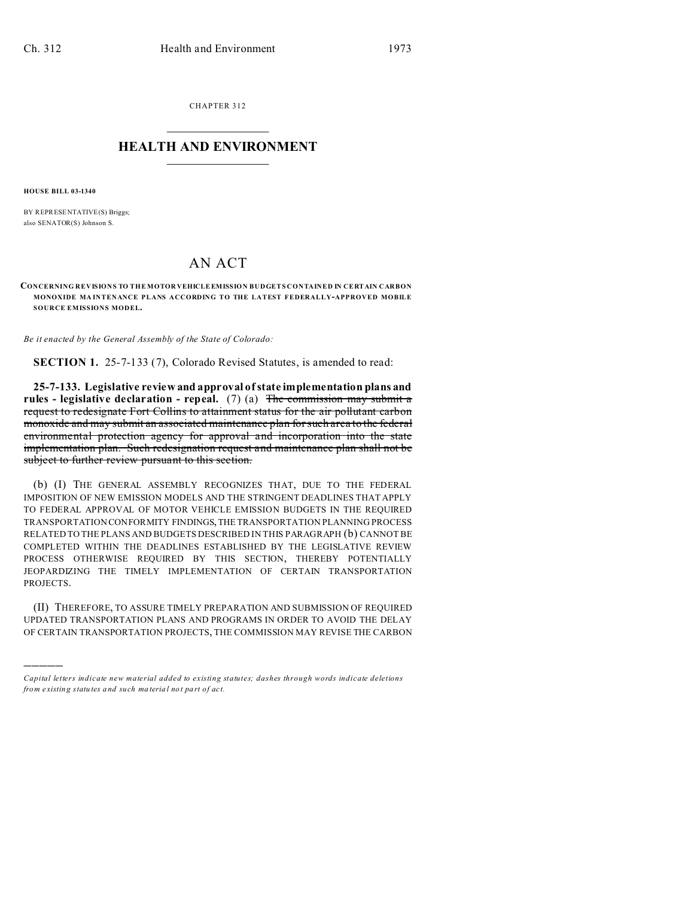CHAPTER 312  $\overline{\phantom{a}}$  , where  $\overline{\phantom{a}}$ 

## **HEALTH AND ENVIRONMENT**  $\_$   $\_$   $\_$   $\_$   $\_$   $\_$   $\_$   $\_$

**HOUSE BILL 03-1340**

)))))

BY REPRESENTATIVE(S) Briggs; also SENATOR(S) Johnson S.

## AN ACT

**CONCERNING REVISIONS TO THE MOTOR VEHICLE EMISSION BUDGETS CONTAINED IN CERTAIN CARBON MONOXIDE MA INTENANCE PLANS ACCORDING TO THE LATEST FEDERALLY-APPROVED MOBILE SOURCE EMISSIONS MODEL.**

*Be it enacted by the General Assembly of the State of Colorado:*

**SECTION 1.** 25-7-133 (7), Colorado Revised Statutes, is amended to read:

**25-7-133. Legislative review and approval of state implementation plans and rules - legislative declaration - repeal.** (7) (a) The commission may submit a request to redesignate Fort Collins to attainment status for the air pollutant carbon monoxide and may submit an associated maintenance plan for such area to the federal environmental protection agency for approval and incorporation into the state implementation plan. Such redesignation request and maintenance plan shall not be subject to further review pursuant to this section.

(b) (I) THE GENERAL ASSEMBLY RECOGNIZES THAT, DUE TO THE FEDERAL IMPOSITION OF NEW EMISSION MODELS AND THE STRINGENT DEADLINES THAT APPLY TO FEDERAL APPROVAL OF MOTOR VEHICLE EMISSION BUDGETS IN THE REQUIRED TRANSPORTATION CONFORMITY FINDINGS,THE TRANSPORTATION PLANNING PROCESS RELATED TO THE PLANS AND BUDGETS DESCRIBED IN THIS PARAGRAPH (b) CANNOT BE COMPLETED WITHIN THE DEADLINES ESTABLISHED BY THE LEGISLATIVE REVIEW PROCESS OTHERWISE REQUIRED BY THIS SECTION, THEREBY POTENTIALLY JEOPARDIZING THE TIMELY IMPLEMENTATION OF CERTAIN TRANSPORTATION PROJECTS.

(II) THEREFORE, TO ASSURE TIMELY PREPARATION AND SUBMISSION OF REQUIRED UPDATED TRANSPORTATION PLANS AND PROGRAMS IN ORDER TO AVOID THE DELAY OF CERTAIN TRANSPORTATION PROJECTS, THE COMMISSION MAY REVISE THE CARBON

*Capital letters indicate new material added to existing statutes; dashes through words indicate deletions from e xistin g statu tes a nd such ma teria l no t pa rt of ac t.*